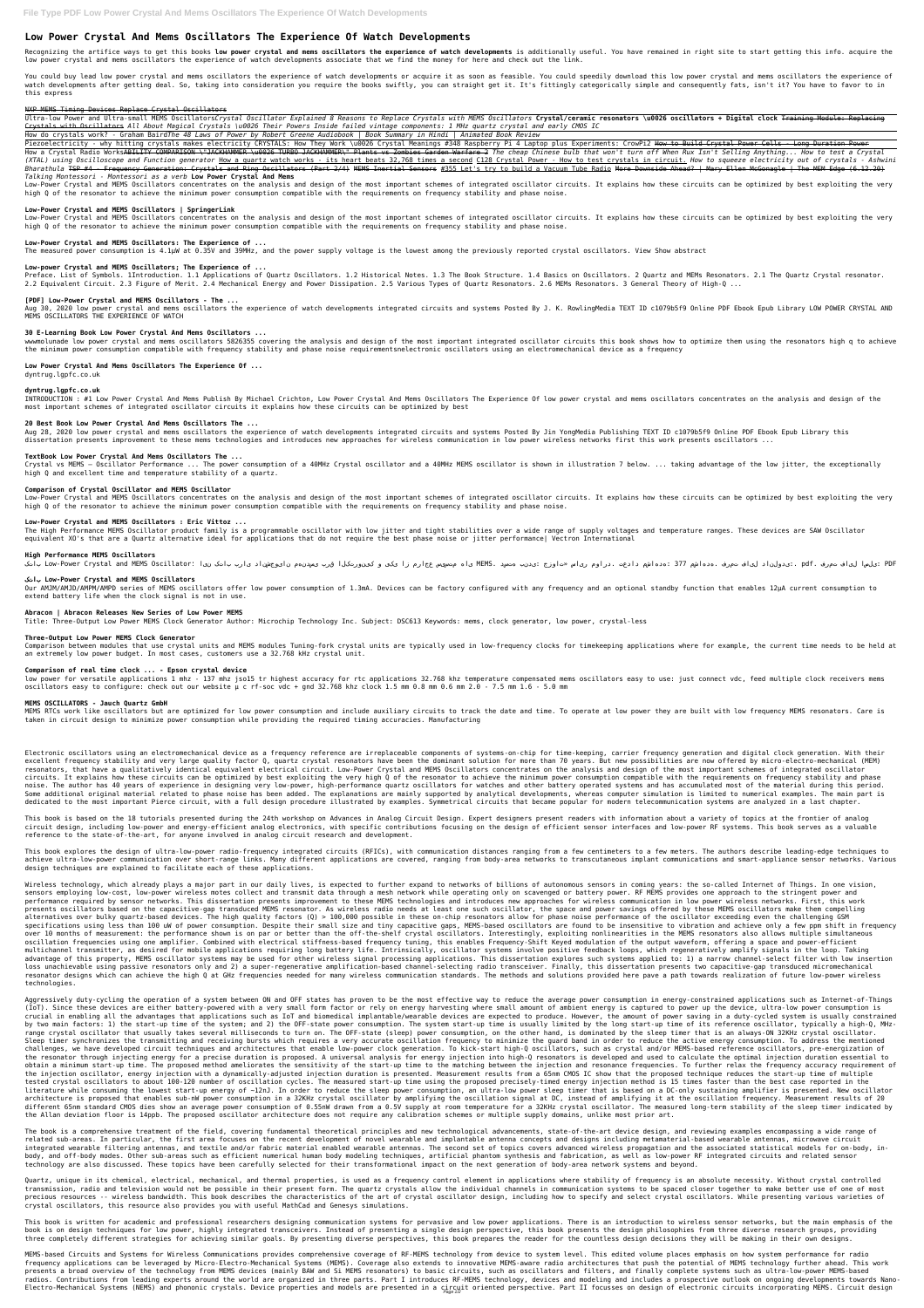# **Low Power Crystal And Mems Oscillators The Experience Of Watch Developments**

Recognizing the artifice ways to get this books low power crystal and mems oscillators the experience of watch developments is additionally useful. You have remained in right site to start getting this info. acquire the low power crystal and mems oscillators the experience of watch developments associate that we find the money for here and check out the link.

Ultra-low Power and Ultra-small MEMS OscillatorsCrystal Oscillator Explained 8 Reasons to Replace Crystals with MEMS Oscillators Cr**ystal/ceramic resonators \u0026 oscillators + Digital clock** <del>Training Module: Replacing</del> Crystals with Oscillators *All About Magical Crystals \u0026 Their Powers Inside failed vintage components: 1 MHz quartz crystal and early CMOS IC*

You could buy lead low power crystal and mems oscillators the experience of watch developments or acquire it as soon as feasible. You could speedily download this low power crystal and mems oscillators the experience of watch developments after getting deal. So, taking into consideration you require the books swiftly, you can straight get it. It's fittingly categorically simple and consequently fats, isn't it? You have to favor to in this express

#### NXP MEMS Timing Devices Replace Crystal Oscillators

How a Crystal Radio WorksABILITY COMPARISON \"JACKHAMMER \u0026 TURBO JACKHAMMER\" Plants vs Zombies Garden Warfare 2 The cheap Chinese bulb that won't turn off When Rux Isn't Selling Anything... How to test a Crystal (XTAL) using Oscilloscope and Function generator How a quartz watch works - its heart beats 32,768 times a second C128 Crystal Power - How to test crystals in circuit. How to squeeze electricity out of crystals - Ashwini *Bharathula* TSP #4 - Frequency Generation: Crystals and Ring Oscillators (Part 2/4) MEMS Inertial Sensors #355 Let's try to build a Vacuum Tube Radio More Downside Ahead? | Mary Ellen McGonagle | The MEM Edge (6.12.20)

Low-Power Crystal and MEMS Oscillators concentrates on the analysis and design of the most important schemes of integrated oscillator circuits. It explains how these circuits can be optimized by best exploiting the very high Q of the resonator to achieve the minimum power consumption compatible with the requirements on frequency stability and phase noise.

How do crystals work? - Graham Baird*The 48 Laws of Power by Robert Greene Audiobook | Book Summary in Hindi | Animated Book Review*

Piezoelectricity - why hitting crystals makes electricity CRYSTALS: How They Work \u0026 Crystal Meanings #348 Raspberry Pi 4 Laptop plus Experiments: CrowPi2 How to Build Crystal Power Cells - Long Duration Power

#### *Talking Montessori - Montessori as a verb* **Low Power Crystal And Mems**

INTRODUCTION : #1 Low Power Crystal And Mems Publish By Michael Crichton, Low Power Crystal And Mems Oscillators The Experience Of low power crystal and mems oscillators concentrates on the analysis and design of the most important schemes of integrated oscillator circuits it explains how these circuits can be optimized by best

Aug 28, 2020 low power crystal and mems oscillators the experience of watch developments integrated circuits and systems Posted By Jin YongMedia Publishing TEXT ID c1079b5f9 Online PDF Ebook Epub Library this dissertation presents improvement to these mems technologies and introduces new approaches for wireless communication in low power wireless networks first this work presents oscillators ...

Low-Power Crystal and MEMS Oscillators concentrates on the analysis and design of the most important schemes of integrated oscillator circuits. It explains how these circuits can be optimized by best exploiting the very high Q of the resonator to achieve the minimum power consumption compatible with the requirements on frequency stability and phase noise.

### **Low-Power Crystal and MEMS Oscillators | SpringerLink**

### **Low-Power Crystal and MEMS Oscillators: The Experience of ...**

The measured power consumption is 4.1μW at 0.35V and 39MHz, and the power supply voltage is the lowest among the previously reported crystal oscillators. View Show abstract

### **Low-power Crystal and MEMS Oscillators; The Experience of ...**

Preface. List of Symbols. 1Introduction. 1.1 Applications of Quartz Oscillators. 1.2 Historical Notes. 1.3 The Book Structure. 1.4 Basics on Oscillators. 2 Quartz and MEMs Resonators. 2.1 The Quartz Crystal resonator. 2.2 Equivalent Circuit. 2.3 Figure of Merit. 2.4 Mechanical Energy and Power Dissipation. 2.5 Various Types of Quartz Resonators. 2.6 MEMs Resonators. 3 General Theory of High-Q ...

## **[PDF] Low-Power Crystal and MEMS Oscillators - The ...**

Aug 30, 2020 low power crystal and mems oscillators the experience of watch developments integrated circuits and systems Posted By J. K. RowlingMedia TEXT ID c1079b5f9 Online PDF Ebook Epub Library LOW POWER CRYSTAL AND MEMS OSCILLATORS THE EXPERIENCE OF WATCH

low power for versatile applications 1 mhz - 137 mhz jso15 tr highest accuracy for rtc applications 32.768 khz temperature compensated mems oscillators easy to use: just connect vdc, feed multiple clock receivers mems oscillators easy to configure: check out our website μ c rf-soc vdc + gnd 32.768 khz clock 1.5 mm 0.8 mm 0.6 mm 2.0 - 7.5 mm 1.6 - 5.0 mm

## **30 E-Learning Book Low Power Crystal And Mems Oscillators ...**

wwwmolunade low power crystal and mems oscillators 5826355 covering the analysis and design of the most important integrated oscillator circuits this book shows how to optimize them using the resonators high q to achieve the minimum power consumption compatible with frequency stability and phase noise requirementsnelectronic oscillators using an electromechanical device as a frequency

## **Low Power Crystal And Mems Oscillators The Experience Of ...**

dyntrug.lgpfc.co.uk

### **dyntrug.lgpfc.co.uk**

### **20 Best Book Low Power Crystal And Mems Oscillators The ...**

This book is based on the 18 tutorials presented during the 24th workshop on Advances in Analog Circuit Design. Expert designers present readers with information about a variety of topics at the frontier of analog circuit design, including low-power and energy-efficient analog electronics, with specific contributions focusing on the design of efficient sensor interfaces and low-power RF systems. This book serves as a valuable reference to the state-of-the-art, for anyone involved in analog circuit research and development.

### **TextBook Low Power Crystal And Mems Oscillators The ...**

Crystal vs MEMS – Oscillator Performance ... The power consumption of a 40MHz Crystal oscillator and a 40MHz MEMS oscillator is shown in illustration 7 below. ... taking advantage of the low jitter, the exceptionally high Q and excellent time and temperature stability of a quartz.

#### **Comparison of Crystal Oscillator and MEMS Oscillator**

Low-Power Crystal and MEMS Oscillators concentrates on the analysis and design of the most important schemes of integrated oscillator circuits. It explains how these circuits can be optimized by best exploiting the very high Q of the resonator to achieve the minimum power consumption compatible with the requirements on frequency stability and phase noise.

### **Low-Power Crystal and MEMS Oscillators : Eric Vittoz ...**

The High Performance MEMS Oscillator product family is a programmable oscillator with low jitter and tight stabilities over a wide range of supply voltages and temperature ranges. These devices are SAW Oscillator equivalent XO's that are a Quartz alternative ideal for applications that do not require the best phase noise or jitter performance| Vectron International

## **High Performance MEMS Oscillators**

PDF :یلصا لیاف تمرف .pdf :.یدولناد لیاف تمرف .هدهاشم 377 :هدهاشم دادعت .دراوم ریاس «تاوزج :یدنب هتسد .MEMS یاه متسیس عجارم زا یکی و کینورتکلا قرب یسدنهم نایوجشناد یارب باتک نیا ؛Oscillator MEMS and Crystal Power-Low باتک

## **باتک Low-Power Crystal and MEMS Oscillators**

Our AMJM/AMJD/AMPM/AMPD series of MEMS oscillators offer low power consumption of 1.3mA. Devices can be factory configured with any frequency and an optional standby function that enables 12µA current consumption to extend battery life when the clock signal is not in use.

## **Abracon | Abracon Releases New Series of Low Power MEMS**

Title: Three-Output Low Power MEMS Clock Generator Author: Microchip Technology Inc. Subject: DSC613 Keywords: mems, clock generator, low power, crystal-less

## **Three-Output Low Power MEMS Clock Generator**

Comparison between modules that use crystal units and MEMS modules Tuning-fork crystal units are typically used in low-frequency clocks for timekeeping applications where for example, the current time needs to be held at an extremely low power budget. In most cases, customers use a 32.768 kHz crystal unit.

## **Comparison of real time clock ... - Epson crystal device**

## **MEMS OSCILLATORS - Jauch Quartz GmbH**

MEMS RTCs work like oscillators but are optimized for low power consumption and include auxiliary circuits to track the date and time. To operate at low power they are built with low frequency MEMS resonators. Care is taken in circuit design to minimize power consumption while providing the required timing accuracies. Manufacturing

Electronic oscillators using an electromechanical device as a frequency reference are irreplaceable components of systems-on-chip for time-keeping, carrier frequency generation and digital clock generation. With their excellent frequency stability and very large quality factor Q, quartz crystal resonators have been the dominant solution for more than 70 years. But new possibilities are now offered by micro-electro-mechanical (MEM) resonators, that have a qualitatively identical equivalent electrical circuit. Low-Power Crystal and MEMS Oscillators concentrates on the analysis and design of the most important schemes of integrated oscillator circuits. It explains how these circuits can be optimized by best exploiting the very high Q of the resonator to achieve the minimum power consumption compatible with the requirements on frequency stability and phase noise. The author has 40 years of experience in designing very low-power, high-performance quartz oscillators for watches and other battery operated systems and has accumulated most of the material during this period. Some additional original material related to phase noise has been added. The explanations are mainly supported by analytical developments, whereas computer simulation is limited to numerical examples. The main part is dedicated to the most important Pierce circuit, with a full design procedure illustrated by examples. Symmetrical circuits that became popular for modern telecommunication systems are analyzed in a last chapter.

MEMS-based Circuits and Systems for Wireless Communications provides comprehensive coverage of RF-MEMS technology from device to system level. This edited volume places emphasis on how system performance for radio frequency applications can be leveraged by Micro-Electro-Mechanical Systems (MEMS). Coverage also extends to innovative MEMS-aware radio architectures that push the potential of MEMS technology further ahead. This work presents a broad overview of the technology from MEMS devices (mainly BAW and Si MEMS resonators) to basic circuits, such as oscillators and filters, and finally complete systems such as ultra-low-power MEMS-based radios. Contributions from leading experts around the world are organized in three parts. Part I introduces RF-MEMS technology, devices and modeling and includes a prospective outlook on ongoing developments towards Nano-Electro-Mechanical Systems (NEMS) and phononic crystals. Device properties and models are presented in a circuit oriented perspective. Part II focusses on design of electronic circuits incorporating MEMS. Circuit design

This book explores the design of ultra-low-power radio-frequency integrated circuits (RFICs), with communication distances ranging from a few centimeters to a few meters. The authors describe leading-edge techniques to achieve ultra-low-power communication over short-range links. Many different applications are covered, ranging from body-area networks to transcutaneous implant communications and smart-appliance sensor networks. Various design techniques are explained to facilitate each of these applications.

Wireless technology, which already plays a major part in our daily lives, is expected to further expand to networks of billions of autonomous sensors in coming years: the so-called Internet of Things. In one vision, sensors employing low-cost, low-power wireless motes collect and transmit data through a mesh network while operating only on scavenged or battery power. RF MEMS provides one approach to the stringent power and performance required by sensor networks. This dissertation presents improvement to these MEMS technologies and introduces new approaches for wireless communication in low power wireless networks. First, this work presents oscillators based on the capacitive-gap transduced MEMS resonator. As wireless radio needs at least one such oscillator, the space and power savings offered by these MEMS oscillators make them compelling alternatives over bulky quartz-based devices. The high quality factors (Q) > 100,000 possible in these on-chip resonators allow for phase noise performance of the oscillator exceeding even the challenging GSM specifications using less than 100 uW of power consumption. Despite their small size and tiny capacitive gaps, MEMS-based oscillators are found to be insensitive to vibration and achieve only a few ppm shift in frequency over 10 months of measurement: the performance shown is on par or better than the off-the-shelf crystal oscillators. Interestingly, exploiting nonlinearities in the MEMS resonators also allows multiple simultaneous oscillation frequencies using one amplifier. Combined with electrical stiffness-based frequency tuning, this enables Frequency-Shift Keyed modulation of the output waveform, offering a space and power-efficient multichannel transmitter, as desired for mobile applications requiring long battery life. Intrinsically, oscillator systems involve positive feedback loops, which regeneratively amplify signals in the loop. Taking advantage of this property, MEMS oscillator systems may be used for other wireless signal processing applications. This dissertation explores such systems applied to: 1) a narrow channel-select filter with low insertion loss unachievable using passive resonators only and 2) a super-regenerative amplification-based channel-selecting radio transceiver. Finally, this dissertation presents two capacitive-gap transduced micromechanical resonator designs which can achieve the high Q at GHz frequencies needed for many wireless communication standards. The methods and solutions provided here pave a path towards realization of future low-power wireless technologies.

Aggressively duty-cycling the operation of a system between ON and OFF states has proven to be the most effective way to reduce the average power consumption in energy-constrained applications such as Internet-of-Things (IoT). Since these devices are either battery-powered with a very small form factor or rely on energy harvesting where small amount of ambient energy is captured to power up the device, ultra-low power consumption is crucial in enabling all the advantages that applications such as IoT and biomedical implantable/wearable devices are expected to produce. However, the amount of power saving in a duty-cycled system is usually constrained by two main factors: 1) the start-up time of the system; and 2) the OFF-state power consumption. The system start-up time is usually limited by the long start-up time of its reference oscillator, typically a high-Q, MHzrange crystal oscillator that usually takes several milliseconds to turn on. The OFF-state (sleep) power consumption, on the other hand, is dominated by the sleep timer that is an always-ON 32KHz crystal oscillator. Sleep timer synchronizes the transmitting and receiving bursts which requires a very accurate oscillation frequency to minimize the guard band in order to reduce the active energy consumption. To address the mentioned challenges, we have developed circuit techniques and architectures that enable low-power clock generation. To kick-start high-Q oscillators, such as crystal and/or MEMS-based reference oscillators, pre-energization of the resonator through injecting energy for a precise duration is proposed. A universal analysis for energy injection into high-Q resonators is developed and used to calculate the optimal injection duration essential to obtain a minimum start-up time. The proposed method ameliorates the sensitivity of the start-up time to the matching between the injection and resonance frequencies. To further relax the frequency accuracy requirement of the injection oscillator, energy injection with a dynamically-adjusted injection duration is presented. Measurement results from a 65nm CMOS IC show that the proposed technique reduces the start-up time of multiple tested crystal oscillators to about 100-120 number of oscillation cycles. The measured start-up time using the proposed precisely-timed energy injection method is 15 times faster than the best case reported in the literature while consuming the lowest start-up energy of ~12nJ. In order to reduce the sleep power consumption, an ultra-low power sleep timer that is based on a DC-only sustaining amplifier is presented. New oscillator architecture is proposed that enables sub-nW power consumption in a 32KHz crystal oscillator by amplifying the oscillation signal at DC, instead of amplifying it at the oscillation frequency. Measurement results of 20 different 65nm standard CMOS dies show an average power consumption of 0.55nW drawn from a 0.5V supply at room temperature for a 32KHz crystal oscillator. The measured long-term stability of the sleep timer indicated by the Allan deviation floor is 14ppb. The proposed oscillator architecture does not require any calibration schemes or multiple supply domains, unlike most prior art.

The book is a comprehensive treatment of the field, covering fundamental theoretical principles and new technological advancements, state-of-the-art device design, and reviewing examples encompassing a wide range of related sub-areas. In particular, the first area focuses on the recent development of novel wearable and implantable antenna concepts and designs including metamaterial-based wearable antennas, microwave circuit integrated wearable filtering antennas, and textile and/or fabric material enabled wearable antennas. The second set of topics covers advanced wireless propagation and the associated statistical models for on-body, inbody, and off-body modes. Other sub-areas such as efficient numerical human body modeling techniques, artificial phantom synthesis and fabrication, as well as low-power RF integrated circuits and related sensor technology are also discussed. These topics have been carefully selected for their transformational impact on the next generation of body-area network systems and beyond.

Quartz, unique in its chemical, electrical, mechanical, and thermal properties, is used as a frequency control element in applications where stability of frequency is an absolute necessity. Without crystal controlled transmission, radio and television would not be possible in their present form. The quartz crystals allow the individual channels in communication systems to be spaced closer together to make better use of one of most precious resources -- wireless bandwidth. This book describes the characteristics of the art of crystal oscillator design, including how to specify and select crystal oscillators. While presenting various varieties of crystal oscillators, this resource also provides you with useful MathCad and Genesys simulations.

This book is written for academic and professional researchers designing communication systems for pervasive and low power applications. There is an introduction to wireless sensor networks, but the main emphasis of the book is on design techniques for low power, highly integrated transceivers. Instead of presenting a single design perspective, this book presents the design philosophies from three diverse research groups, providing three completely different strategies for achieving similar goals. By presenting diverse perspectives, this book prepares the reader for the countless design decisions they will be making in their own designs.